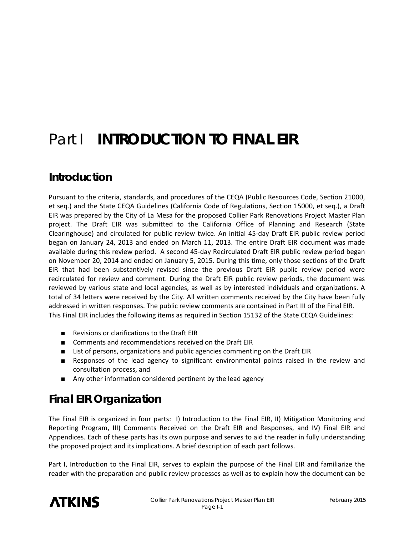# Part **I INTRODUCTION TO FINAL EIR**

### **Introduction**

Pursuant to the criteria, standards, and procedures of the CEQA (Public Resources Code, Section 21000, et seq.) and the State CEQA Guidelines (California Code of Regulations, Section 15000, et seq.), a Draft EIR was prepared by the City of La Mesa for the proposed Collier Park Renovations Project Master Plan project. The Draft EIR was submitted to the California Office of Planning and Research (State Clearinghouse) and circulated for public review twice. An initial 45‐day Draft EIR public review period began on January 24, 2013 and ended on March 11, 2013. The entire Draft EIR document was made available during this review period. A second 45‐day Recirculated Draft EIR public review period began on November 20, 2014 and ended on January 5, 2015. During this time, only those sections of the Draft EIR that had been substantively revised since the previous Draft EIR public review period were recirculated for review and comment. During the Draft EIR public review periods, the document was reviewed by various state and local agencies, as well as by interested individuals and organizations. A total of 34 letters were received by the City. All written comments received by the City have been fully addressed in written responses. The public review comments are contained in Part III of the Final EIR. This Final EIR includes the following items as required in Section 15132 of the State CEQA Guidelines:

- Revisions or clarifications to the Draft EIR
- Comments and recommendations received on the Draft EIR
- List of persons, organizations and public agencies commenting on the Draft EIR
- Responses of the lead agency to significant environmental points raised in the review and consultation process, and
- Any other information considered pertinent by the lead agency

## **Final EIR Organization**

The Final EIR is organized in four parts: I) Introduction to the Final EIR, II) Mitigation Monitoring and Reporting Program, III) Comments Received on the Draft EIR and Responses, and IV) Final EIR and Appendices. Each of these parts has its own purpose and serves to aid the reader in fully understanding the proposed project and its implications. A brief description of each part follows.

Part I, Introduction to the Final EIR, serves to explain the purpose of the Final EIR and familiarize the reader with the preparation and public review processes as well as to explain how the document can be

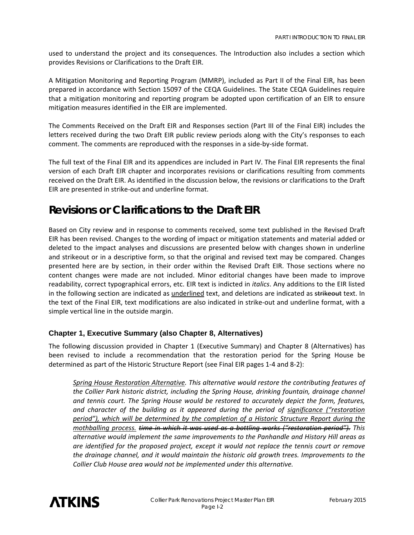used to understand the project and its consequences. The Introduction also includes a section which provides Revisions or Clarifications to the Draft EIR.

A Mitigation Monitoring and Reporting Program (MMRP), included as Part II of the Final EIR, has been prepared in accordance with Section 15097 of the CEQA Guidelines. The State CEQA Guidelines require that a mitigation monitoring and reporting program be adopted upon certification of an EIR to ensure mitigation measures identified in the EIR are implemented.

The Comments Received on the Draft EIR and Responses section (Part III of the Final EIR) includes the letters received during the two Draft EIR public review periods along with the City's responses to each comment. The comments are reproduced with the responses in a side‐by‐side format.

The full text of the Final EIR and its appendices are included in Part IV. The Final EIR represents the final version of each Draft EIR chapter and incorporates revisions or clarifications resulting from comments received on the Draft EIR. As identified in the discussion below, the revisions or clarifications to the Draft EIR are presented in strike‐out and underline format.

### **Revisions or Clarifications to the Draft EIR**

Based on City review and in response to comments received, some text published in the Revised Draft EIR has been revised. Changes to the wording of impact or mitigation statements and material added or deleted to the impact analyses and discussions are presented below with changes shown in underline and strikeout or in a descriptive form, so that the original and revised text may be compared. Changes presented here are by section, in their order within the Revised Draft EIR. Those sections where no content changes were made are not included. Minor editorial changes have been made to improve readability, correct typographical errors, etc. EIR text is indicted in *italics*. Any additions to the EIR listed in the following section are indicated as underlined text, and deletions are indicated as strikeout text. In the text of the Final EIR, text modifications are also indicated in strike‐out and underline format, with a simple vertical line in the outside margin.

#### **Chapter 1, Executive Summary (also Chapter 8, Alternatives)**

The following discussion provided in Chapter 1 (Executive Summary) and Chapter 8 (Alternatives) has been revised to include a recommendation that the restoration period for the Spring House be determined as part of the Historic Structure Report (see Final EIR pages 1‐4 and 8‐2):

*Spring House Restoration Alternative. This alternative would restore the contributing features of the Collier Park historic district, including the Spring House, drinking fountain, drainage channel and tennis court. The Spring House would be restored to accurately depict the form, features, and character of the building as it appeared during the period of significance ("restoration period"), which will be determined by the completion of a Historic Structure Report during the mothballing process. time in which it was used as a bottling works ("restoration period"). This alternative would implement the same improvements to the Panhandle and History Hill areas as are identified for the proposed project, except it would not replace the tennis court or remove the drainage channel, and it would maintain the historic old growth trees. Improvements to the Collier Club House area would not be implemented under this alternative.*

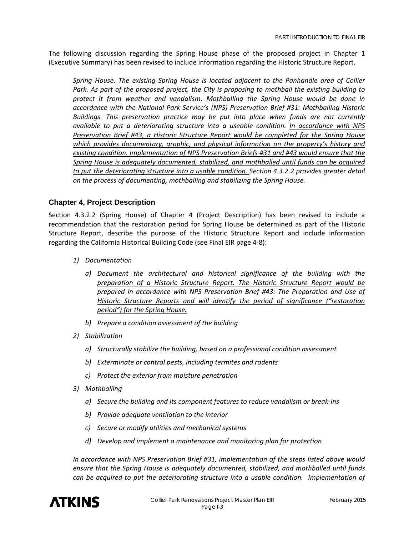The following discussion regarding the Spring House phase of the proposed project in Chapter 1 (Executive Summary) has been revised to include information regarding the Historic Structure Report.

*Spring House. The existing Spring House is located adjacent to the Panhandle area of Collier Park. As part of the proposed project, the City is proposing to mothball the existing building to protect it from weather and vandalism. Mothballing the Spring House would be done in accordance with the National Park Service's (NPS) Preservation Brief #31: Mothballing Historic Buildings. This preservation practice may be put into place when funds are not currently available to put a deteriorating structure into a useable condition. In accordance with NPS Preservation Brief #43, a Historic Structure Report would be completed for the Spring House which provides documentary, graphic, and physical information on the property's history and existing condition. Implementation of NPS Preservation Briefs #31 and #43 would ensure that the Spring House is adequately documented, stabilized, and mothballed until funds can be acquired to put the deteriorating structure into a usable condition. Section 4.3.2.2 provides greater detail on the process of documenting, mothballing and stabilizing the Spring House.*

#### **Chapter 4, Project Description**

Section 4.3.2.2 (Spring House) of Chapter 4 (Project Description) has been revised to include a recommendation that the restoration period for Spring House be determined as part of the Historic Structure Report, describe the purpose of the Historic Structure Report and include information regarding the California Historical Building Code (see Final EIR page 4‐8):

- *1) Documentation*
	- *a) Document the architectural and historical significance of the building with the preparation of a Historic Structure Report. The Historic Structure Report would be prepared in accordance with NPS Preservation Brief #43: The Preparation and Use of Historic Structure Reports and will identify the period of significance ("restoration period") for the Spring House.*
	- *b) Prepare a condition assessment of the building*
- *2) Stabilization*
	- *a) Structurally stabilize the building, based on a professional condition assessment*
	- *b) Exterminate or control pests, including termites and rodents*
	- *c) Protect the exterior from moisture penetration*
- *3) Mothballing*
	- *a) Secure the building and its component features to reduce vandalism or break‐ins*
	- *b) Provide adequate ventilation to the interior*
	- *c) Secure or modify utilities and mechanical systems*
	- *d) Develop and implement a maintenance and monitoring plan for protection*

*In accordance with NPS Preservation Brief #31, implementation of the steps listed above would ensure that the Spring House is adequately documented, stabilized, and mothballed until funds can be acquired to put the deteriorating structure into a usable condition. Implementation of*

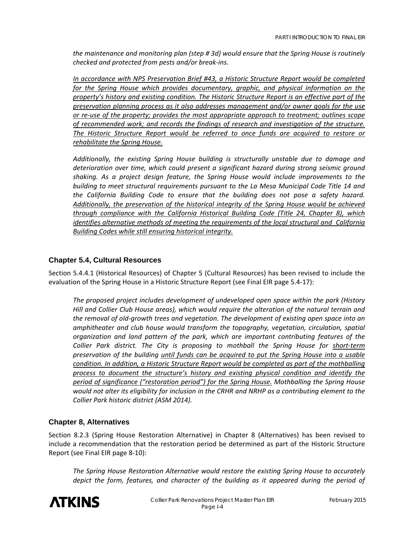*the maintenance and monitoring plan (step # 3d) would ensure that the Spring House is routinely checked and protected from pests and/or break‐ins.* 

*In accordance with NPS Preservation Brief #43, a Historic Structure Report would be completed for the Spring House which provides documentary, graphic, and physical information on the property's history and existing condition. The Historic Structure Report is an effective part of the preservation planning process as it also addresses management and/or owner goals for the use or re‐use of the property; provides the most appropriate approach to treatment; outlines scope of recommended work; and records the findings of research and investigation of the structure. The Historic Structure Report would be referred to once funds are acquired to restore or rehabilitate the Spring House.*

*Additionally, the existing Spring House building is structurally unstable due to damage and deterioration over time, which could present a significant hazard during strong seismic ground shaking. As a project design feature, the Spring House would include improvements to the building to meet structural requirements pursuant to the La Mesa Municipal Code Title 14 and the California Building Code to ensure that the building does not pose a safety hazard. Additionally, the preservation of the historical integrity of the Spring House would be achieved through compliance with the California Historical Building Code (Title 24, Chapter 8), which identifies alternative methods of meeting the requirements of the local structural and California Building Codes while still ensuring historical integrity.*

#### **Chapter 5.4, Cultural Resources**

Section 5.4.4.1 (Historical Resources) of Chapter 5 (Cultural Resources) has been revised to include the evaluation of the Spring House in a Historic Structure Report (see Final EIR page 5.4‐17):

*The proposed project includes development of undeveloped open space within the park (History Hill and Collier Club House areas), which would require the alteration of the natural terrain and the removal of old‐growth trees and vegetation. The development of existing open space into an amphitheater and club house would transform the topography, vegetation, circulation, spatial organization and land pattern of the park, which are important contributing features of the Collier Park district. The City is proposing to mothball the Spring House for short‐term preservation of the building until funds can be acquired to put the Spring House into a usable condition. In addition, a Historic Structure Report would be completed as part of the mothballing process to document the structure's history and existing physical condition and identify the period of significance ("restoration period") for the Spring House. Mothballing the Spring House* would not alter its eligibility for inclusion in the CRHR and NRHP as a contributing element to the *Collier Park historic district (ASM 2014).*

#### **Chapter 8, Alternatives**

Section 8.2.3 (Spring House Restoration Alternative) in Chapter 8 (Alternatives) has been revised to include a recommendation that the restoration period be determined as part of the Historic Structure Report (see Final EIR page 8‐10):

*The Spring House Restoration Alternative would restore the existing Spring House to accurately depict the form, features, and character of the building as it appeared during the period of*

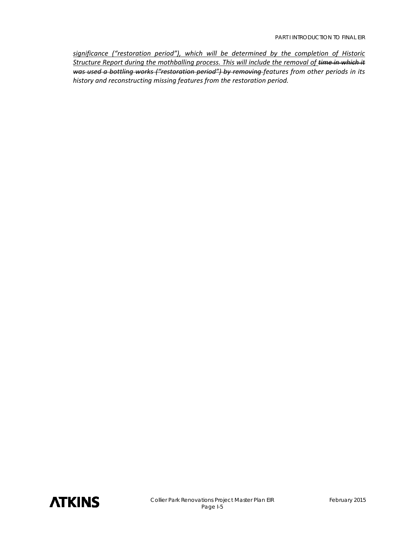*significance ("restoration period"), which will be determined by the completion of Historic Structure Report during the mothballing process. This will include the removal of time in which it was used a bottling works ("restoration period") by removing features from other periods in its history and reconstructing missing features from the restoration period.*